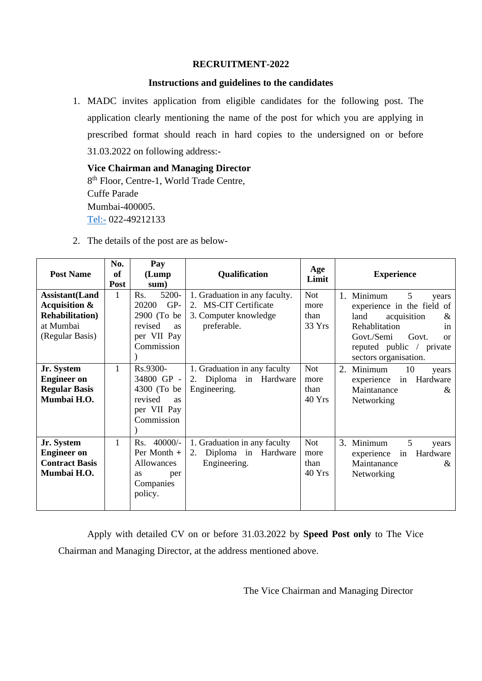## **RECRUITMENT-2022**

## **Instructions and guidelines to the candidates**

1. MADC invites application from eligible candidates for the following post. The application clearly mentioning the name of the post for which you are applying in prescribed format should reach in hard copies to the undersigned on or before 31.03.2022 on following address:-

**Vice Chairman and Managing Director** 8<sup>th</sup> Floor, Centre-1, World Trade Centre, Cuffe Parade Mumbai-400005. [Tel:-](tel:-) 022-49212133

2. The details of the post are as below-

| <b>Post Name</b>                                                                                              | No.<br>of<br><b>Post</b> | Pay<br>(Lump)<br>sum)                                                                            | Qualification                                                                                  | Age<br>Limit                         | <b>Experience</b>                                                                                                                                                                                    |
|---------------------------------------------------------------------------------------------------------------|--------------------------|--------------------------------------------------------------------------------------------------|------------------------------------------------------------------------------------------------|--------------------------------------|------------------------------------------------------------------------------------------------------------------------------------------------------------------------------------------------------|
| <b>Assistant</b> (Land<br><b>Acquisition &amp;</b><br><b>Rehabilitation</b> )<br>at Mumbai<br>(Regular Basis) | $\mathbf{1}$             | Rs.<br>5200-<br>GP-<br>20200<br>2900 (To be<br>revised<br><b>as</b><br>per VII Pay<br>Commission | 1. Graduation in any faculty.<br>2. MS-CIT Certificate<br>3. Computer knowledge<br>preferable. | <b>Not</b><br>more<br>than<br>33 Yrs | 5<br>1.<br>Minimum<br>vears<br>experience in the field of<br>land<br>acquisition<br>&<br>Rehablitation<br>in<br>Govt./Semi<br>Govt.<br>$\alpha$<br>reputed public / private<br>sectors organisation. |
| Jr. System<br><b>Engineer</b> on<br><b>Regular Basis</b><br>Mumbai H.O.                                       | $\mathbf{1}$             | Rs.9300-<br>34800 GP -<br>4300 (To be)<br>revised<br><b>as</b><br>per VII Pay<br>Commission      | 1. Graduation in any faculty<br>Diploma in Hardware<br>2.<br>Engineering.                      | <b>Not</b><br>more<br>than<br>40 Yrs | 2.<br>Minimum<br>10<br>years<br>experience<br>in<br>Hardware<br>Maintanance<br>&<br>Networking                                                                                                       |
| Jr. System<br><b>Engineer</b> on<br><b>Contract Basis</b><br>Mumbai H.O.                                      | $\mathbf{1}$             | $40000/-$<br>Rs.<br>Per Month +<br>Allowances<br>as<br>per<br>Companies<br>policy.               | 1. Graduation in any faculty<br>Diploma in Hardware<br>2.<br>Engineering.                      | <b>Not</b><br>more<br>than<br>40 Yrs | 3. Minimum<br>5<br>years<br>experience<br>Hardware<br>in<br>Maintanance<br>$\&$<br>Networking                                                                                                        |

Apply with detailed CV on or before 31.03.2022 by **Speed Post only** to The Vice Chairman and Managing Director, at the address mentioned above.

The Vice Chairman and Managing Director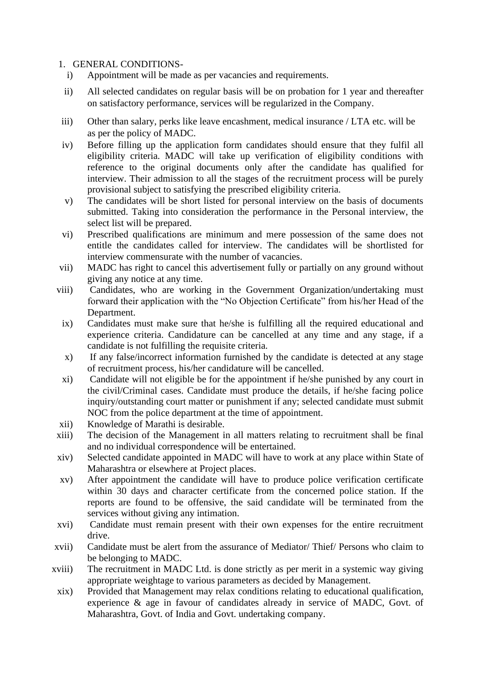## 1. GENERAL CONDITIONS-

- i) Appointment will be made as per vacancies and requirements.
- ii) All selected candidates on regular basis will be on probation for 1 year and thereafter on satisfactory performance, services will be regularized in the Company.
- iii) Other than salary, perks like leave encashment, medical insurance / LTA etc. will be as per the policy of MADC.
- iv) Before filling up the application form candidates should ensure that they fulfil all eligibility criteria. MADC will take up verification of eligibility conditions with reference to the original documents only after the candidate has qualified for interview. Their admission to all the stages of the recruitment process will be purely provisional subject to satisfying the prescribed eligibility criteria.
- v) The candidates will be short listed for personal interview on the basis of documents submitted. Taking into consideration the performance in the Personal interview, the select list will be prepared.
- vi) Prescribed qualifications are minimum and mere possession of the same does not entitle the candidates called for interview. The candidates will be shortlisted for interview commensurate with the number of vacancies.
- vii) MADC has right to cancel this advertisement fully or partially on any ground without giving any notice at any time.
- viii) Candidates, who are working in the Government Organization/undertaking must forward their application with the "No Objection Certificate" from his/her Head of the Department.
- ix) Candidates must make sure that he/she is fulfilling all the required educational and experience criteria. Candidature can be cancelled at any time and any stage, if a candidate is not fulfilling the requisite criteria.
- x) If any false/incorrect information furnished by the candidate is detected at any stage of recruitment process, his/her candidature will be cancelled.
- xi) Candidate will not eligible be for the appointment if he/she punished by any court in the civil/Criminal cases. Candidate must produce the details, if he/she facing police inquiry/outstanding court matter or punishment if any; selected candidate must submit NOC from the police department at the time of appointment.
- xii) Knowledge of Marathi is desirable.
- xiii) The decision of the Management in all matters relating to recruitment shall be final and no individual correspondence will be entertained.
- xiv) Selected candidate appointed in MADC will have to work at any place within State of Maharashtra or elsewhere at Project places.
- xv) After appointment the candidate will have to produce police verification certificate within 30 days and character certificate from the concerned police station. If the reports are found to be offensive, the said candidate will be terminated from the services without giving any intimation.
- xvi) Candidate must remain present with their own expenses for the entire recruitment drive.
- xvii) Candidate must be alert from the assurance of Mediator/ Thief/ Persons who claim to be belonging to MADC.
- xviii) The recruitment in MADC Ltd. is done strictly as per merit in a systemic way giving appropriate weightage to various parameters as decided by Management.
- xix) Provided that Management may relax conditions relating to educational qualification, experience & age in favour of candidates already in service of MADC, Govt. of Maharashtra, Govt. of India and Govt. undertaking company.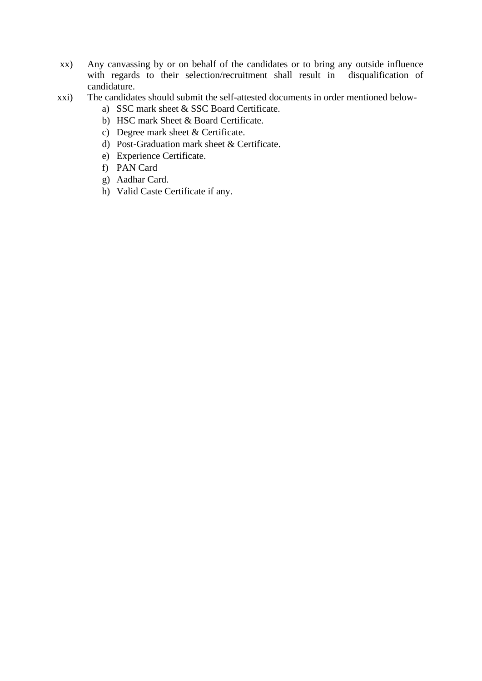- xx) Any canvassing by or on behalf of the candidates or to bring any outside influence with regards to their selection/recruitment shall result in disqualification of candidature.
- xxi) The candidates should submit the self-attested documents in order mentioned below
	- a) SSC mark sheet & SSC Board Certificate.
	- b) HSC mark Sheet & Board Certificate.
	- c) Degree mark sheet & Certificate.
	- d) Post-Graduation mark sheet & Certificate.
	- e) Experience Certificate.
	- f) PAN Card
	- g) Aadhar Card.
	- h) Valid Caste Certificate if any.